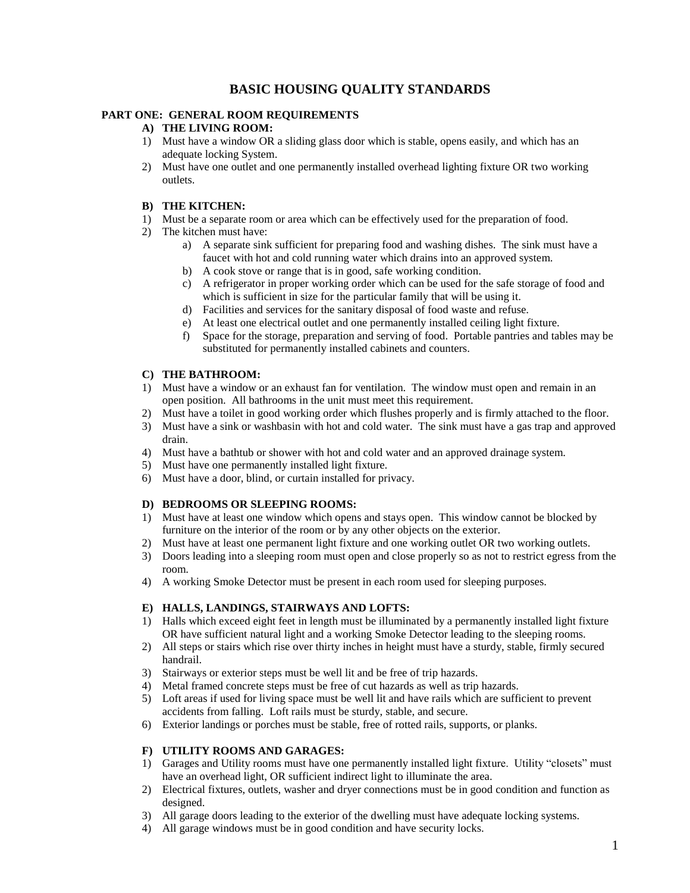# **BASIC HOUSING QUALITY STANDARDS**

### **PART ONE: GENERAL ROOM REQUIREMENTS**

### **A) THE LIVING ROOM:**

- 1) Must have a window OR a sliding glass door which is stable, opens easily, and which has an adequate locking System.
- 2) Must have one outlet and one permanently installed overhead lighting fixture OR two working outlets.

#### **B) THE KITCHEN:**

- 1) Must be a separate room or area which can be effectively used for the preparation of food.
- 2) The kitchen must have:
	- a) A separate sink sufficient for preparing food and washing dishes. The sink must have a faucet with hot and cold running water which drains into an approved system.
	- b) A cook stove or range that is in good, safe working condition.
	- c) A refrigerator in proper working order which can be used for the safe storage of food and which is sufficient in size for the particular family that will be using it.
	- d) Facilities and services for the sanitary disposal of food waste and refuse.
	- e) At least one electrical outlet and one permanently installed ceiling light fixture.
	- f) Space for the storage, preparation and serving of food. Portable pantries and tables may be substituted for permanently installed cabinets and counters.

### **C) THE BATHROOM:**

- 1) Must have a window or an exhaust fan for ventilation. The window must open and remain in an open position. All bathrooms in the unit must meet this requirement.
- 2) Must have a toilet in good working order which flushes properly and is firmly attached to the floor.
- 3) Must have a sink or washbasin with hot and cold water. The sink must have a gas trap and approved drain.
- 4) Must have a bathtub or shower with hot and cold water and an approved drainage system.
- 5) Must have one permanently installed light fixture.
- 6) Must have a door, blind, or curtain installed for privacy.

### **D) BEDROOMS OR SLEEPING ROOMS:**

- 1) Must have at least one window which opens and stays open. This window cannot be blocked by furniture on the interior of the room or by any other objects on the exterior.
- 2) Must have at least one permanent light fixture and one working outlet OR two working outlets.
- 3) Doors leading into a sleeping room must open and close properly so as not to restrict egress from the room.
- 4) A working Smoke Detector must be present in each room used for sleeping purposes.

### **E) HALLS, LANDINGS, STAIRWAYS AND LOFTS:**

- 1) Halls which exceed eight feet in length must be illuminated by a permanently installed light fixture OR have sufficient natural light and a working Smoke Detector leading to the sleeping rooms.
- 2) All steps or stairs which rise over thirty inches in height must have a sturdy, stable, firmly secured handrail.
- 3) Stairways or exterior steps must be well lit and be free of trip hazards.
- 4) Metal framed concrete steps must be free of cut hazards as well as trip hazards.
- 5) Loft areas if used for living space must be well lit and have rails which are sufficient to prevent accidents from falling. Loft rails must be sturdy, stable, and secure.
- 6) Exterior landings or porches must be stable, free of rotted rails, supports, or planks.

### **F) UTILITY ROOMS AND GARAGES:**

- 1) Garages and Utility rooms must have one permanently installed light fixture. Utility "closets" must have an overhead light, OR sufficient indirect light to illuminate the area.
- 2) Electrical fixtures, outlets, washer and dryer connections must be in good condition and function as designed.
- 3) All garage doors leading to the exterior of the dwelling must have adequate locking systems.
- 4) All garage windows must be in good condition and have security locks.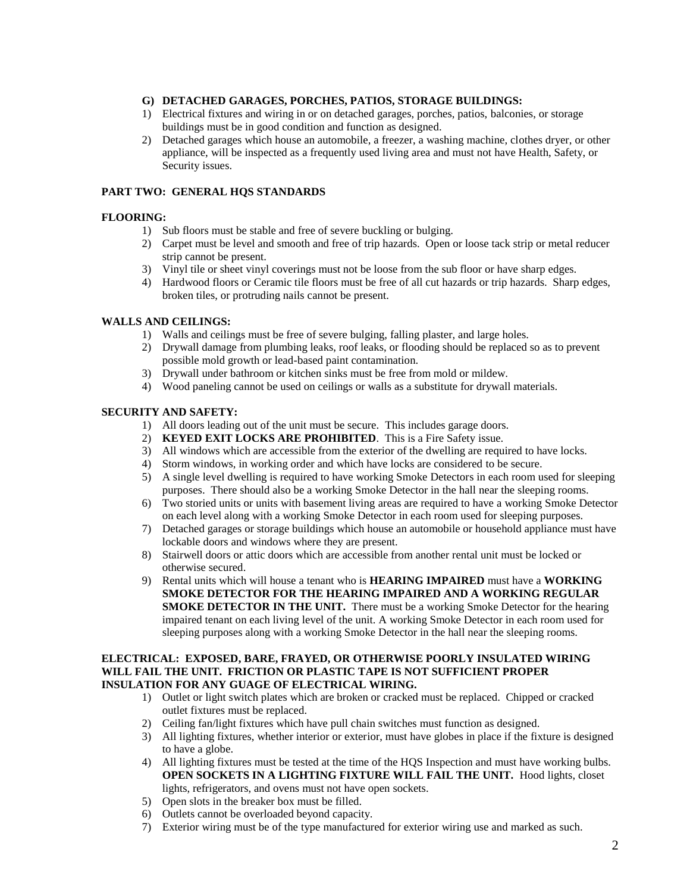#### **G) DETACHED GARAGES, PORCHES, PATIOS, STORAGE BUILDINGS:**

- 1) Electrical fixtures and wiring in or on detached garages, porches, patios, balconies, or storage buildings must be in good condition and function as designed.
- 2) Detached garages which house an automobile, a freezer, a washing machine, clothes dryer, or other appliance, will be inspected as a frequently used living area and must not have Health, Safety, or Security issues.

#### **PART TWO: GENERAL HQS STANDARDS**

### **FLOORING:**

- 1) Sub floors must be stable and free of severe buckling or bulging.
- 2) Carpet must be level and smooth and free of trip hazards. Open or loose tack strip or metal reducer strip cannot be present.
- 3) Vinyl tile or sheet vinyl coverings must not be loose from the sub floor or have sharp edges.
- 4) Hardwood floors or Ceramic tile floors must be free of all cut hazards or trip hazards. Sharp edges, broken tiles, or protruding nails cannot be present.

#### **WALLS AND CEILINGS:**

- 1) Walls and ceilings must be free of severe bulging, falling plaster, and large holes.
- 2) Drywall damage from plumbing leaks, roof leaks, or flooding should be replaced so as to prevent possible mold growth or lead-based paint contamination.
- 3) Drywall under bathroom or kitchen sinks must be free from mold or mildew.
- 4) Wood paneling cannot be used on ceilings or walls as a substitute for drywall materials.

### **SECURITY AND SAFETY:**

- 1) All doors leading out of the unit must be secure. This includes garage doors.
- 2) **KEYED EXIT LOCKS ARE PROHIBITED**. This is a Fire Safety issue.
- 3) All windows which are accessible from the exterior of the dwelling are required to have locks.
- 4) Storm windows, in working order and which have locks are considered to be secure.
- 5) A single level dwelling is required to have working Smoke Detectors in each room used for sleeping purposes. There should also be a working Smoke Detector in the hall near the sleeping rooms.
- 6) Two storied units or units with basement living areas are required to have a working Smoke Detector on each level along with a working Smoke Detector in each room used for sleeping purposes.
- 7) Detached garages or storage buildings which house an automobile or household appliance must have lockable doors and windows where they are present.
- 8) Stairwell doors or attic doors which are accessible from another rental unit must be locked or otherwise secured.
- 9) Rental units which will house a tenant who is **HEARING IMPAIRED** must have a **WORKING SMOKE DETECTOR FOR THE HEARING IMPAIRED AND A WORKING REGULAR SMOKE DETECTOR IN THE UNIT.** There must be a working Smoke Detector for the hearing impaired tenant on each living level of the unit. A working Smoke Detector in each room used for sleeping purposes along with a working Smoke Detector in the hall near the sleeping rooms.

#### **ELECTRICAL: EXPOSED, BARE, FRAYED, OR OTHERWISE POORLY INSULATED WIRING WILL FAIL THE UNIT. FRICTION OR PLASTIC TAPE IS NOT SUFFICIENT PROPER INSULATION FOR ANY GUAGE OF ELECTRICAL WIRING.**

- 1) Outlet or light switch plates which are broken or cracked must be replaced. Chipped or cracked outlet fixtures must be replaced.
- 2) Ceiling fan/light fixtures which have pull chain switches must function as designed.
- 3) All lighting fixtures, whether interior or exterior, must have globes in place if the fixture is designed to have a globe.
- 4) All lighting fixtures must be tested at the time of the HQS Inspection and must have working bulbs. **OPEN SOCKETS IN A LIGHTING FIXTURE WILL FAIL THE UNIT.** Hood lights, closet lights, refrigerators, and ovens must not have open sockets.
- 5) Open slots in the breaker box must be filled.
- 6) Outlets cannot be overloaded beyond capacity.
- 7) Exterior wiring must be of the type manufactured for exterior wiring use and marked as such.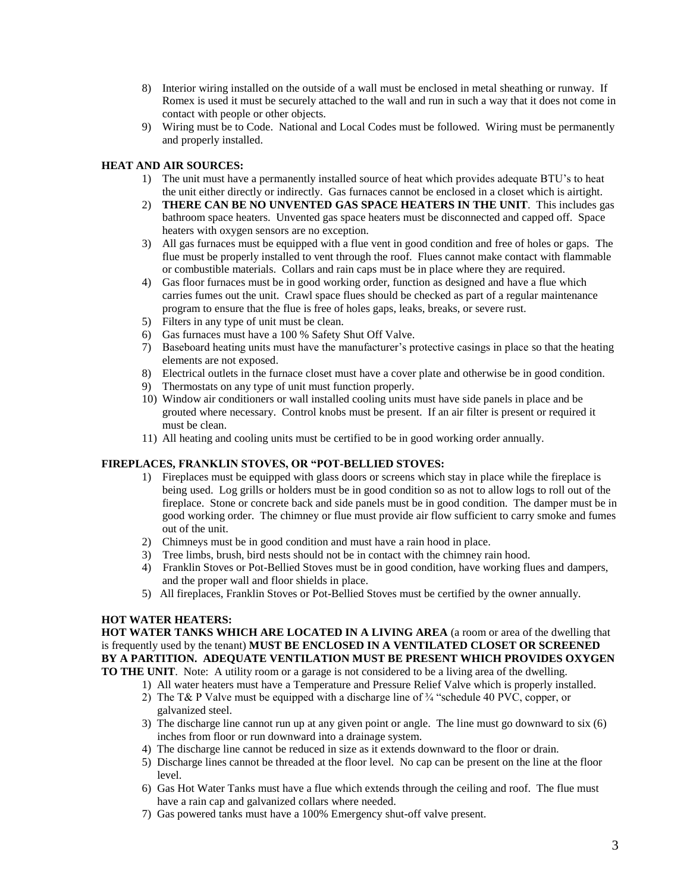- 8) Interior wiring installed on the outside of a wall must be enclosed in metal sheathing or runway. If Romex is used it must be securely attached to the wall and run in such a way that it does not come in contact with people or other objects.
- 9) Wiring must be to Code. National and Local Codes must be followed. Wiring must be permanently and properly installed.

### **HEAT AND AIR SOURCES:**

- 1) The unit must have a permanently installed source of heat which provides adequate BTU's to heat the unit either directly or indirectly. Gas furnaces cannot be enclosed in a closet which is airtight.
- 2) **THERE CAN BE NO UNVENTED GAS SPACE HEATERS IN THE UNIT**. This includes gas bathroom space heaters. Unvented gas space heaters must be disconnected and capped off. Space heaters with oxygen sensors are no exception.
- 3) All gas furnaces must be equipped with a flue vent in good condition and free of holes or gaps. The flue must be properly installed to vent through the roof. Flues cannot make contact with flammable or combustible materials. Collars and rain caps must be in place where they are required.
- 4) Gas floor furnaces must be in good working order, function as designed and have a flue which carries fumes out the unit. Crawl space flues should be checked as part of a regular maintenance program to ensure that the flue is free of holes gaps, leaks, breaks, or severe rust.
- 5) Filters in any type of unit must be clean.
- 6) Gas furnaces must have a 100 % Safety Shut Off Valve.
- 7) Baseboard heating units must have the manufacturer's protective casings in place so that the heating elements are not exposed.
- 8) Electrical outlets in the furnace closet must have a cover plate and otherwise be in good condition.
- 9) Thermostats on any type of unit must function properly.
- 10) Window air conditioners or wall installed cooling units must have side panels in place and be grouted where necessary. Control knobs must be present. If an air filter is present or required it must be clean.
- 11) All heating and cooling units must be certified to be in good working order annually.

# **FIREPLACES, FRANKLIN STOVES, OR "POT-BELLIED STOVES:**

- 1) Fireplaces must be equipped with glass doors or screens which stay in place while the fireplace is being used. Log grills or holders must be in good condition so as not to allow logs to roll out of the fireplace. Stone or concrete back and side panels must be in good condition. The damper must be in good working order. The chimney or flue must provide air flow sufficient to carry smoke and fumes out of the unit.
- 2) Chimneys must be in good condition and must have a rain hood in place.
- 3) Tree limbs, brush, bird nests should not be in contact with the chimney rain hood.
- 4) Franklin Stoves or Pot-Bellied Stoves must be in good condition, have working flues and dampers, and the proper wall and floor shields in place.
- 5) All fireplaces, Franklin Stoves or Pot-Bellied Stoves must be certified by the owner annually.

# **HOT WATER HEATERS:**

**HOT WATER TANKS WHICH ARE LOCATED IN A LIVING AREA** (a room or area of the dwelling that is frequently used by the tenant) **MUST BE ENCLOSED IN A VENTILATED CLOSET OR SCREENED BY A PARTITION. ADEQUATE VENTILATION MUST BE PRESENT WHICH PROVIDES OXYGEN TO THE UNIT**. Note: A utility room or a garage is not considered to be a living area of the dwelling.

- 1) All water heaters must have a Temperature and Pressure Relief Valve which is properly installed.
- 2) The T& P Valve must be equipped with a discharge line of ¾ "schedule 40 PVC, copper, or galvanized steel.
- 3) The discharge line cannot run up at any given point or angle. The line must go downward to six (6) inches from floor or run downward into a drainage system.
- 4) The discharge line cannot be reduced in size as it extends downward to the floor or drain.
- 5) Discharge lines cannot be threaded at the floor level. No cap can be present on the line at the floor level.
- 6) Gas Hot Water Tanks must have a flue which extends through the ceiling and roof. The flue must have a rain cap and galvanized collars where needed.
- 7) Gas powered tanks must have a 100% Emergency shut-off valve present.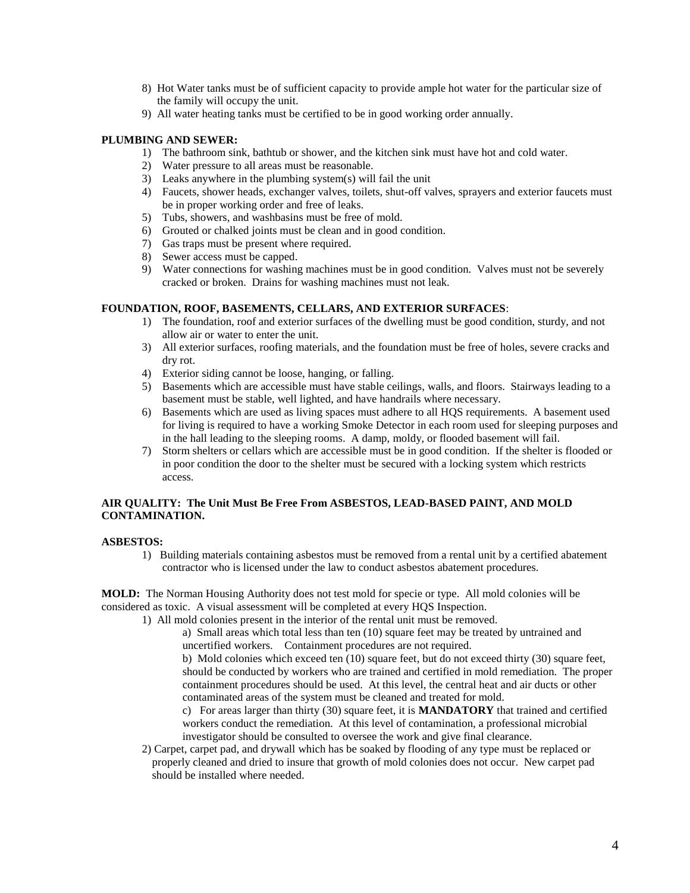- 8) Hot Water tanks must be of sufficient capacity to provide ample hot water for the particular size of the family will occupy the unit.
- 9) All water heating tanks must be certified to be in good working order annually.

### **PLUMBING AND SEWER:**

- 1) The bathroom sink, bathtub or shower, and the kitchen sink must have hot and cold water.
- 2) Water pressure to all areas must be reasonable.
- 3) Leaks anywhere in the plumbing system(s) will fail the unit
- 4) Faucets, shower heads, exchanger valves, toilets, shut-off valves, sprayers and exterior faucets must be in proper working order and free of leaks.
- 5) Tubs, showers, and washbasins must be free of mold.
- 6) Grouted or chalked joints must be clean and in good condition.
- 7) Gas traps must be present where required.
- 8) Sewer access must be capped.
- 9) Water connections for washing machines must be in good condition. Valves must not be severely cracked or broken. Drains for washing machines must not leak.

#### **FOUNDATION, ROOF, BASEMENTS, CELLARS, AND EXTERIOR SURFACES**:

- 1) The foundation, roof and exterior surfaces of the dwelling must be good condition, sturdy, and not allow air or water to enter the unit.
- 3) All exterior surfaces, roofing materials, and the foundation must be free of holes, severe cracks and dry rot.
- 4) Exterior siding cannot be loose, hanging, or falling.
- 5) Basements which are accessible must have stable ceilings, walls, and floors. Stairways leading to a basement must be stable, well lighted, and have handrails where necessary.
- 6) Basements which are used as living spaces must adhere to all HQS requirements. A basement used for living is required to have a working Smoke Detector in each room used for sleeping purposes and in the hall leading to the sleeping rooms. A damp, moldy, or flooded basement will fail.
- 7) Storm shelters or cellars which are accessible must be in good condition. If the shelter is flooded or in poor condition the door to the shelter must be secured with a locking system which restricts access.

### **AIR QUALITY: The Unit Must Be Free From ASBESTOS, LEAD-BASED PAINT, AND MOLD CONTAMINATION.**

### **ASBESTOS:**

1) Building materials containing asbestos must be removed from a rental unit by a certified abatement contractor who is licensed under the law to conduct asbestos abatement procedures.

**MOLD:** The Norman Housing Authority does not test mold for specie or type. All mold colonies will be considered as toxic. A visual assessment will be completed at every HQS Inspection.

1) All mold colonies present in the interior of the rental unit must be removed.

a) Small areas which total less than ten (10) square feet may be treated by untrained and uncertified workers. Containment procedures are not required.

b) Mold colonies which exceed ten (10) square feet, but do not exceed thirty (30) square feet, should be conducted by workers who are trained and certified in mold remediation. The proper containment procedures should be used. At this level, the central heat and air ducts or other contaminated areas of the system must be cleaned and treated for mold.

c) For areas larger than thirty (30) square feet, it is **MANDATORY** that trained and certified workers conduct the remediation. At this level of contamination, a professional microbial investigator should be consulted to oversee the work and give final clearance.

2) Carpet, carpet pad, and drywall which has be soaked by flooding of any type must be replaced or properly cleaned and dried to insure that growth of mold colonies does not occur. New carpet pad should be installed where needed.